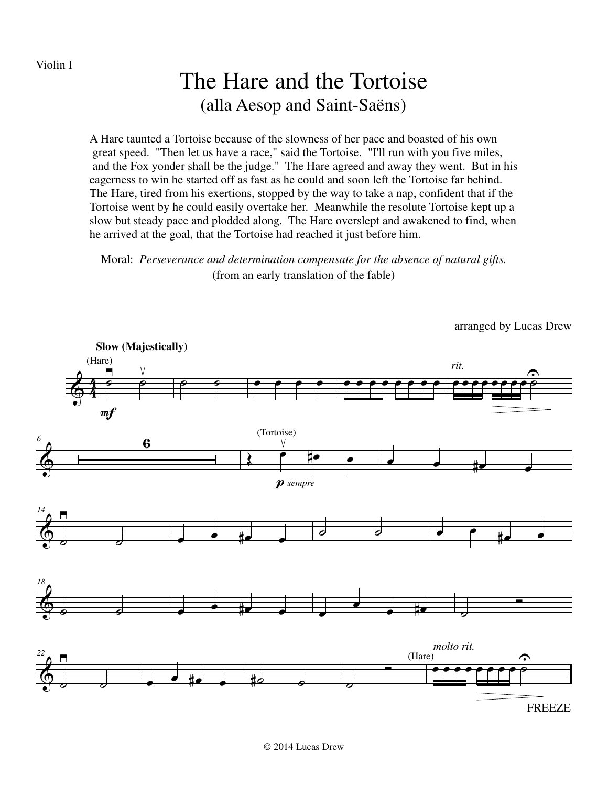## Violin I

## The Hare and the Tortoise (alla Aesop and Saint-Saëns)

A Hare taunted a Tortoise because of the slowness of her pace and boasted of his own great speed. "Then let us have a race," said the Tortoise. "I'll run with you five miles, and the Fox yonder shall be the judge." The Hare agreed and away they went. But in his eagerness to win he started off as fast as he could and soon left the Tortoise far behind. The Hare, tired from his exertions, stopped by the way to take a nap, confident that if the Tortoise went by he could easily overtake her. Meanwhile the resolute Tortoise kept up a slow but steady pace and plodded along. The Hare overslept and awakened to find, when he arrived at the goal, that the Tortoise had reached it just before him.

Moral: *Perseverance and determination compensate for the absence of natural gifts.* (from an early translation of the fable)



arranged by Lucas Drew